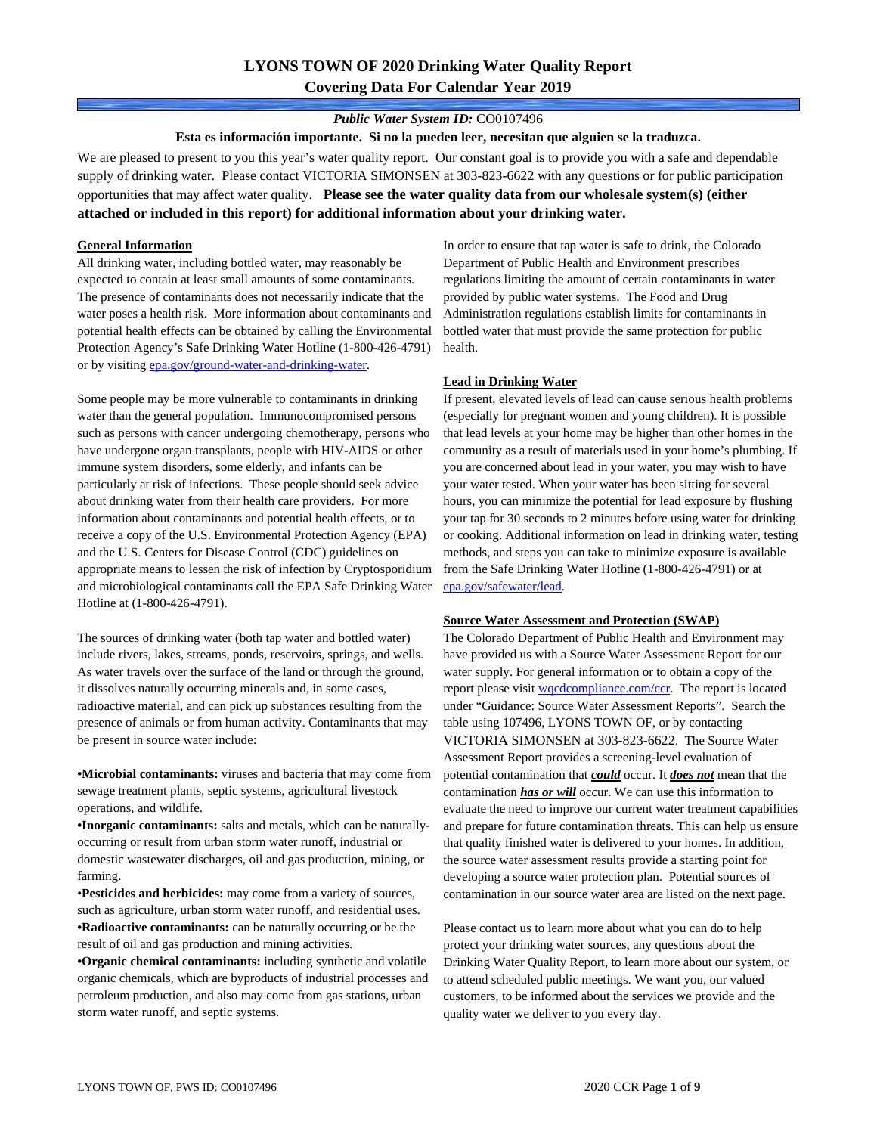# **LYONS TOWN OF 2020 Drinking Water Quality Report Covering Data For Calendar Year 2019**

### *Public Water System ID:* CO0107496

**Esta es información importante. Si no la pueden leer, necesitan que alguien se la traduzca.**

We are pleased to present to you this year's water quality report. Our constant goal is to provide you with a safe and dependable supply of drinking water. Please contact VICTORIA SIMONSEN at 303-823-6622 with any questions or for public participation opportunities that may affect water quality. **Please see the water quality data from our wholesale system(s) (either attached or included in this report) for additional information about your drinking water.**

### **General Information**

All drinking water, including bottled water, may reasonably be expected to contain at least small amounts of some contaminants. The presence of contaminants does not necessarily indicate that the water poses a health risk. More information about contaminants and potential health effects can be obtained by calling the Environmental Protection Agency's Safe Drinking Water Hotline (1-800-426-4791) or by visiting epa.gov/ground-water-and-drinking-water.

Some people may be more vulnerable to contaminants in drinking water than the general population. Immunocompromised persons such as persons with cancer undergoing chemotherapy, persons who have undergone organ transplants, people with HIV-AIDS or other immune system disorders, some elderly, and infants can be particularly at risk of infections. These people should seek advice about drinking water from their health care providers. For more information about contaminants and potential health effects, or to receive a copy of the U.S. Environmental Protection Agency (EPA) and the U.S. Centers for Disease Control (CDC) guidelines on appropriate means to lessen the risk of infection by Cryptosporidium and microbiological contaminants call the EPA Safe Drinking Water Hotline at (1-800-426-4791).

The sources of drinking water (both tap water and bottled water) include rivers, lakes, streams, ponds, reservoirs, springs, and wells. As water travels over the surface of the land or through the ground, it dissolves naturally occurring minerals and, in some cases, radioactive material, and can pick up substances resulting from the presence of animals or from human activity. Contaminants that may be present in source water include:

**•Microbial contaminants:** viruses and bacteria that may come from sewage treatment plants, septic systems, agricultural livestock operations, and wildlife.

**•Inorganic contaminants:** salts and metals, which can be naturallyoccurring or result from urban storm water runoff, industrial or domestic wastewater discharges, oil and gas production, mining, or farming.

•**Pesticides and herbicides:** may come from a variety of sources, such as agriculture, urban storm water runoff, and residential uses. **•Radioactive contaminants:** can be naturally occurring or be the result of oil and gas production and mining activities.

**•Organic chemical contaminants:** including synthetic and volatile organic chemicals, which are byproducts of industrial processes and petroleum production, and also may come from gas stations, urban storm water runoff, and septic systems.

In order to ensure that tap water is safe to drink, the Colorado Department of Public Health and Environment prescribes regulations limiting the amount of certain contaminants in water provided by public water systems. The Food and Drug Administration regulations establish limits for contaminants in bottled water that must provide the same protection for public health.

#### **Lead in Drinking Water**

If present, elevated levels of lead can cause serious health problems (especially for pregnant women and young children). It is possible that lead levels at your home may be higher than other homes in the community as a result of materials used in your home's plumbing. If you are concerned about lead in your water, you may wish to have your water tested. When your water has been sitting for several hours, you can minimize the potential for lead exposure by flushing your tap for 30 seconds to 2 minutes before using water for drinking or cooking. Additional information on lead in drinking water, testing methods, and steps you can take to minimize exposure is available from the Safe Drinking Water Hotline (1-800-426-4791) or at epa.gov/safewater/lead.

#### **Source Water Assessment and Protection (SWAP)**

The Colorado Department of Public Health and Environment may have provided us with a Source Water Assessment Report for our water supply. For general information or to obtain a copy of the report please visit wqcdcompliance.com/ccr. The report is located under "Guidance: Source Water Assessment Reports". Search the table using 107496, LYONS TOWN OF, or by contacting VICTORIA SIMONSEN at 303-823-6622. The Source Water Assessment Report provides a screening-level evaluation of potential contamination that *could* occur. It *does not* mean that the contamination *has or will* occur. We can use this information to evaluate the need to improve our current water treatment capabilities and prepare for future contamination threats. This can help us ensure that quality finished water is delivered to your homes. In addition, the source water assessment results provide a starting point for developing a source water protection plan. Potential sources of contamination in our source water area are listed on the next page.

Please contact us to learn more about what you can do to help protect your drinking water sources, any questions about the Drinking Water Quality Report, to learn more about our system, or to attend scheduled public meetings. We want you, our valued customers, to be informed about the services we provide and the quality water we deliver to you every day.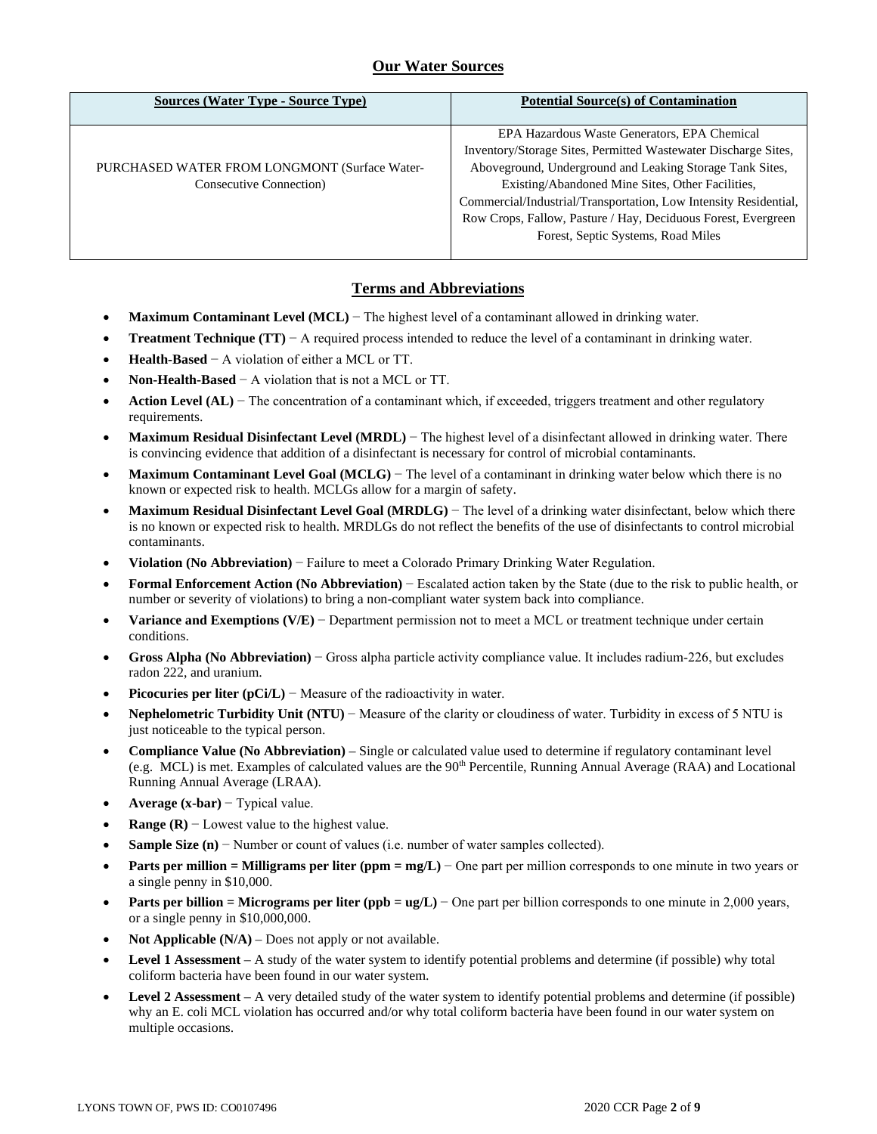# **Our Water Sources**

| <b>Sources (Water Type - Source Type)</b>     | <b>Potential Source(s) of Contamination</b>                      |
|-----------------------------------------------|------------------------------------------------------------------|
|                                               | EPA Hazardous Waste Generators, EPA Chemical                     |
|                                               | Inventory/Storage Sites, Permitted Wastewater Discharge Sites,   |
| PURCHASED WATER FROM LONGMONT (Surface Water- | Aboveground, Underground and Leaking Storage Tank Sites,         |
| Consecutive Connection)                       | Existing/Abandoned Mine Sites, Other Facilities,                 |
|                                               | Commercial/Industrial/Transportation, Low Intensity Residential, |
|                                               | Row Crops, Fallow, Pasture / Hay, Deciduous Forest, Evergreen    |
|                                               | Forest, Septic Systems, Road Miles                               |
|                                               |                                                                  |

# **Terms and Abbreviations**

- **Maximum Contaminant Level (MCL)** − The highest level of a contaminant allowed in drinking water.
- **Treatment Technique (TT)**  $A$  required process intended to reduce the level of a contaminant in drinking water.
- **Health-Based** − A violation of either a MCL or TT.
- **Non-Health-Based** − A violation that is not a MCL or TT.
- **Action Level (AL)** − The concentration of a contaminant which, if exceeded, triggers treatment and other regulatory requirements.
- **Maximum Residual Disinfectant Level (MRDL)** − The highest level of a disinfectant allowed in drinking water. There is convincing evidence that addition of a disinfectant is necessary for control of microbial contaminants.
- **Maximum Contaminant Level Goal (MCLG)** − The level of a contaminant in drinking water below which there is no known or expected risk to health. MCLGs allow for a margin of safety.
- **Maximum Residual Disinfectant Level Goal (MRDLG)** − The level of a drinking water disinfectant, below which there is no known or expected risk to health. MRDLGs do not reflect the benefits of the use of disinfectants to control microbial contaminants.
- **Violation (No Abbreviation)** − Failure to meet a Colorado Primary Drinking Water Regulation.
- **Formal Enforcement Action (No Abbreviation)** − Escalated action taken by the State (due to the risk to public health, or number or severity of violations) to bring a non-compliant water system back into compliance.
- **Variance and Exemptions (V/E)** − Department permission not to meet a MCL or treatment technique under certain conditions.
- **Gross Alpha (No Abbreviation)** − Gross alpha particle activity compliance value. It includes radium-226, but excludes radon 222, and uranium.
- **Picocuries per liter (pCi/L)** − Measure of the radioactivity in water.
- **Nephelometric Turbidity Unit (NTU)** − Measure of the clarity or cloudiness of water. Turbidity in excess of 5 NTU is just noticeable to the typical person.
- **Compliance Value (No Abbreviation)** Single or calculated value used to determine if regulatory contaminant level (e.g. MCL) is met. Examples of calculated values are the 90<sup>th</sup> Percentile, Running Annual Average (RAA) and Locational Running Annual Average (LRAA).
- **Average (x-bar)** − Typical value.
- **Range (R)**  $-$  Lowest value to the highest value.
- **Sample Size (n)** − Number or count of values (i.e. number of water samples collected).
- **Parts per million = Milligrams per liter (ppm = mg/L)** − One part per million corresponds to one minute in two years or a single penny in \$10,000.
- **Parts per billion = Micrograms per liter (ppb = ug/L)** − One part per billion corresponds to one minute in 2,000 years, or a single penny in \$10,000,000.
- **Not Applicable (N/A)** Does not apply or not available.
- **Level 1 Assessment** A study of the water system to identify potential problems and determine (if possible) why total coliform bacteria have been found in our water system.
- **Level 2 Assessment** A very detailed study of the water system to identify potential problems and determine (if possible) why an E. coli MCL violation has occurred and/or why total coliform bacteria have been found in our water system on multiple occasions.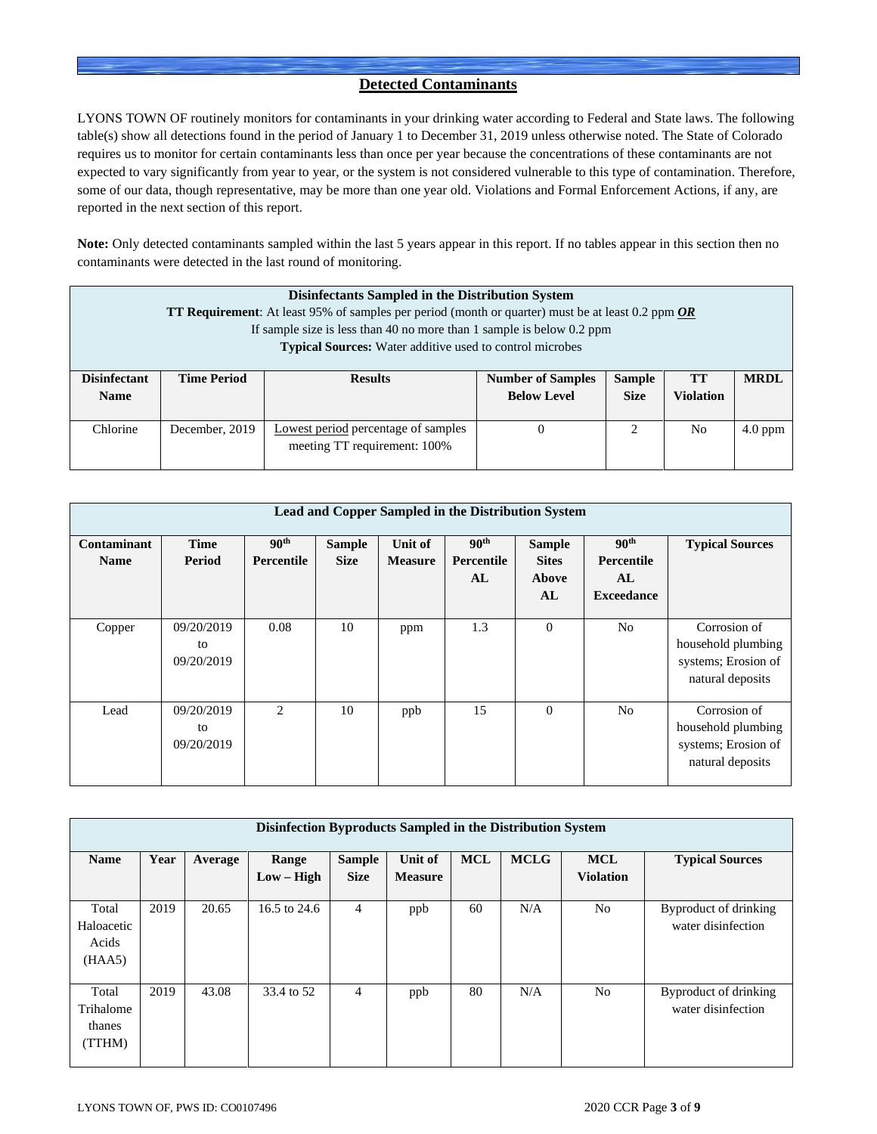# **Detected Contaminants**

LYONS TOWN OF routinely monitors for contaminants in your drinking water according to Federal and State laws. The following table(s) show all detections found in the period of January 1 to December 31, 2019 unless otherwise noted. The State of Colorado requires us to monitor for certain contaminants less than once per year because the concentrations of these contaminants are not expected to vary significantly from year to year, or the system is not considered vulnerable to this type of contamination. Therefore, some of our data, though representative, may be more than one year old. Violations and Formal Enforcement Actions, if any, are reported in the next section of this report.

**Note:** Only detected contaminants sampled within the last 5 years appear in this report. If no tables appear in this section then no contaminants were detected in the last round of monitoring.

|                                    | Disinfectants Sampled in the Distribution System<br><b>TT Requirement:</b> At least 95% of samples per period (month or quarter) must be at least 0.2 ppm $OR$<br>If sample size is less than 40 no more than 1 sample is below 0.2 ppm<br><b>Typical Sources:</b> Water additive used to control microbes |                                                                     |                                                |                              |                        |             |  |  |
|------------------------------------|------------------------------------------------------------------------------------------------------------------------------------------------------------------------------------------------------------------------------------------------------------------------------------------------------------|---------------------------------------------------------------------|------------------------------------------------|------------------------------|------------------------|-------------|--|--|
| <b>Disinfectant</b><br><b>Name</b> | <b>Time Period</b>                                                                                                                                                                                                                                                                                         | <b>Results</b>                                                      | <b>Number of Samples</b><br><b>Below Level</b> | <b>Sample</b><br><b>Size</b> | TТ<br><b>Violation</b> | <b>MRDL</b> |  |  |
| Chlorine                           | December, 2019                                                                                                                                                                                                                                                                                             | Lowest period percentage of samples<br>meeting TT requirement: 100% | $\theta$                                       |                              | No                     | $4.0$ ppm   |  |  |

|                            | <b>Lead and Copper Sampled in the Distribution System</b> |                                |                              |                           |                                      |                                              |                                                           |                                                                               |  |  |  |  |
|----------------------------|-----------------------------------------------------------|--------------------------------|------------------------------|---------------------------|--------------------------------------|----------------------------------------------|-----------------------------------------------------------|-------------------------------------------------------------------------------|--|--|--|--|
| Contaminant<br><b>Name</b> | <b>Time</b><br>Period                                     | 90 <sup>th</sup><br>Percentile | <b>Sample</b><br><b>Size</b> | Unit of<br><b>Measure</b> | 90 <sup>th</sup><br>Percentile<br>AL | <b>Sample</b><br><b>Sites</b><br>Above<br>AL | 90 <sup>th</sup><br>Percentile<br>AL<br><b>Exceedance</b> | <b>Typical Sources</b>                                                        |  |  |  |  |
| Copper                     | 09/20/2019<br>to<br>09/20/2019                            | 0.08                           | 10                           | ppm                       | 1.3                                  | $\theta$                                     | N <sub>0</sub>                                            | Corrosion of<br>household plumbing<br>systems; Erosion of<br>natural deposits |  |  |  |  |
| Lead                       | 09/20/2019<br>to<br>09/20/2019                            | 2                              | 10                           | ppb                       | 15                                   | $\theta$                                     | N <sub>0</sub>                                            | Corrosion of<br>household plumbing<br>systems; Erosion of<br>natural deposits |  |  |  |  |

|                                        | Disinfection Byproducts Sampled in the Distribution System |         |                       |                              |                                  |            |             |                                |                                             |  |  |  |
|----------------------------------------|------------------------------------------------------------|---------|-----------------------|------------------------------|----------------------------------|------------|-------------|--------------------------------|---------------------------------------------|--|--|--|
| <b>Name</b>                            | Year                                                       | Average | Range<br>$Low - High$ | <b>Sample</b><br><b>Size</b> | <b>Unit of</b><br><b>Measure</b> | <b>MCL</b> | <b>MCLG</b> | <b>MCL</b><br><b>Violation</b> | <b>Typical Sources</b>                      |  |  |  |
| Total<br>Haloacetic<br>Acids<br>(HAA5) | 2019                                                       | 20.65   | 16.5 to 24.6          | $\overline{4}$               | ppb                              | 60         | N/A         | N <sub>0</sub>                 | Byproduct of drinking<br>water disinfection |  |  |  |
| Total<br>Trihalome<br>thanes<br>(TTHM) | 2019                                                       | 43.08   | 33.4 to 52            | 4                            | ppb                              | 80         | N/A         | N <sub>0</sub>                 | Byproduct of drinking<br>water disinfection |  |  |  |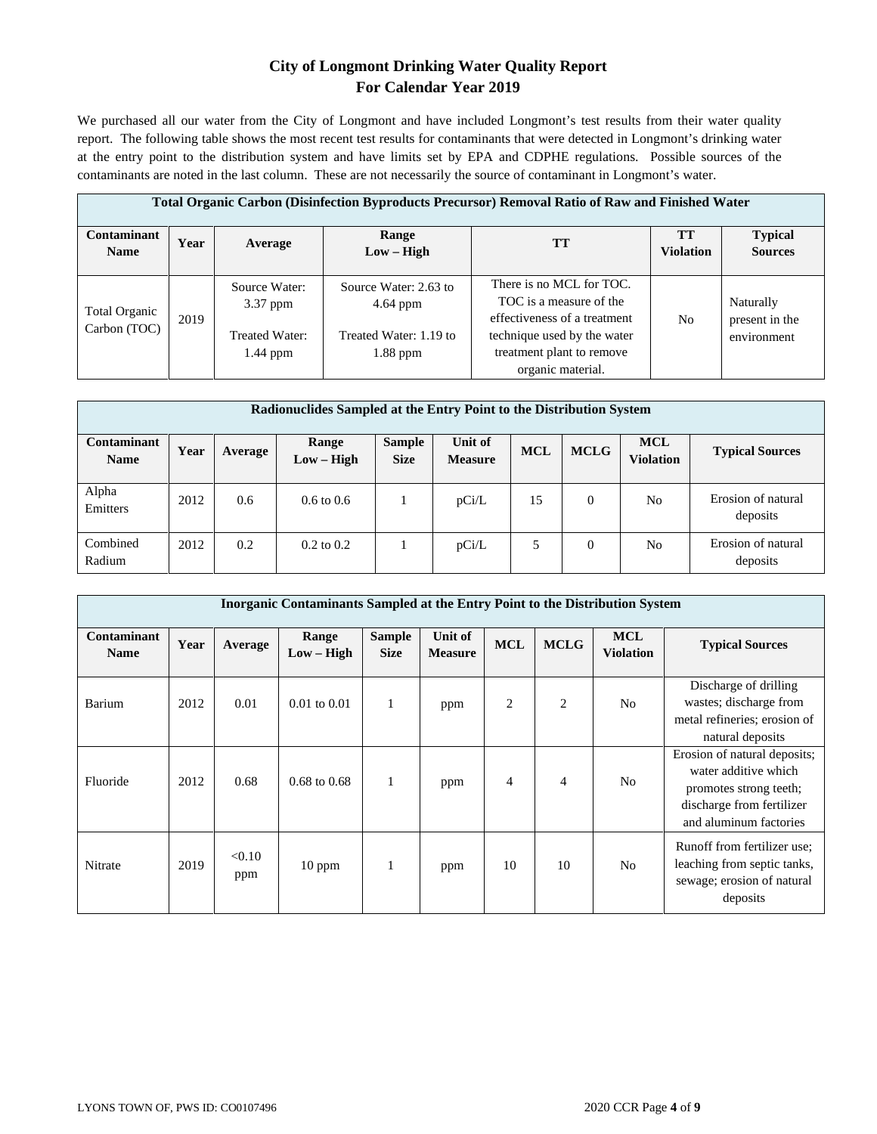# **City of Longmont Drinking Water Quality Report For Calendar Year 2019**

We purchased all our water from the City of Longmont and have included Longmont's test results from their water quality report. The following table shows the most recent test results for contaminants that were detected in Longmont's drinking water at the entry point to the distribution system and have limits set by EPA and CDPHE regulations. Possible sources of the contaminants are noted in the last column. These are not necessarily the source of contaminant in Longmont's water.

| <b>Total Organic Carbon (Disinfection Byproducts Precursor) Removal Ratio of Raw and Finished Water</b> |      |                                                             |                                                                             |                                                                                                                                                                      |                               |                                            |  |  |  |  |
|---------------------------------------------------------------------------------------------------------|------|-------------------------------------------------------------|-----------------------------------------------------------------------------|----------------------------------------------------------------------------------------------------------------------------------------------------------------------|-------------------------------|--------------------------------------------|--|--|--|--|
| Contaminant<br><b>Name</b>                                                                              | Year | Average                                                     | Range<br>$Low - High$                                                       | TТ                                                                                                                                                                   | <b>TT</b><br><b>Violation</b> | <b>Typical</b><br><b>Sources</b>           |  |  |  |  |
| Total Organic<br>Carbon (TOC)                                                                           | 2019 | Source Water:<br>$3.37$ ppm<br>Treated Water:<br>$1.44$ ppm | Source Water: 2.63 to<br>$4.64$ ppm<br>Treated Water: 1.19 to<br>$1.88$ ppm | There is no MCL for TOC.<br>TOC is a measure of the<br>effectiveness of a treatment<br>technique used by the water<br>treatment plant to remove<br>organic material. | N <sub>0</sub>                | Naturally<br>present in the<br>environment |  |  |  |  |

|                            | Radionuclides Sampled at the Entry Point to the Distribution System |         |                       |                              |                           |            |                |                                |                                |  |  |  |
|----------------------------|---------------------------------------------------------------------|---------|-----------------------|------------------------------|---------------------------|------------|----------------|--------------------------------|--------------------------------|--|--|--|
| Contaminant<br><b>Name</b> | Year                                                                | Average | Range<br>$Low - High$ | <b>Sample</b><br><b>Size</b> | Unit of<br><b>Measure</b> | <b>MCL</b> | <b>MCLG</b>    | <b>MCL</b><br><b>Violation</b> | <b>Typical Sources</b>         |  |  |  |
| Alpha<br>Emitters          | 2012                                                                | 0.6     | $0.6 \text{ to } 0.6$ |                              | pCi/L                     | 15         | $\mathbf{0}$   | No                             | Erosion of natural<br>deposits |  |  |  |
| Combined<br>Radium         | 2012                                                                | 0.2     | $0.2 \text{ to } 0.2$ |                              | pCi/L                     | 5          | $\overline{0}$ | No                             | Erosion of natural<br>deposits |  |  |  |

|                            | <b>Inorganic Contaminants Sampled at the Entry Point to the Distribution System</b> |               |                         |                              |                           |                |                |                                |                                                                                                                                       |  |  |  |  |
|----------------------------|-------------------------------------------------------------------------------------|---------------|-------------------------|------------------------------|---------------------------|----------------|----------------|--------------------------------|---------------------------------------------------------------------------------------------------------------------------------------|--|--|--|--|
| Contaminant<br><b>Name</b> | Year                                                                                | Average       | Range<br>$Low - High$   | <b>Sample</b><br><b>Size</b> | Unit of<br><b>Measure</b> | <b>MCL</b>     | <b>MCLG</b>    | <b>MCL</b><br><b>Violation</b> | <b>Typical Sources</b>                                                                                                                |  |  |  |  |
| Barium                     | 2012                                                                                | 0.01          | $0.01$ to $0.01$        | $\mathbf{1}$                 | ppm                       | 2              | $\overline{c}$ | N <sub>o</sub>                 | Discharge of drilling<br>wastes; discharge from<br>metal refineries; erosion of<br>natural deposits                                   |  |  |  |  |
| Fluoride                   | 2012                                                                                | 0.68          | $0.68 \text{ to } 0.68$ | 1                            | ppm                       | $\overline{4}$ | $\overline{4}$ | N <sub>0</sub>                 | Erosion of natural deposits;<br>water additive which<br>promotes strong teeth;<br>discharge from fertilizer<br>and aluminum factories |  |  |  |  |
| Nitrate                    | 2019                                                                                | < 0.10<br>ppm | $10$ ppm                | 1                            | ppm                       | 10             | 10             | N <sub>0</sub>                 | Runoff from fertilizer use:<br>leaching from septic tanks,<br>sewage; erosion of natural<br>deposits                                  |  |  |  |  |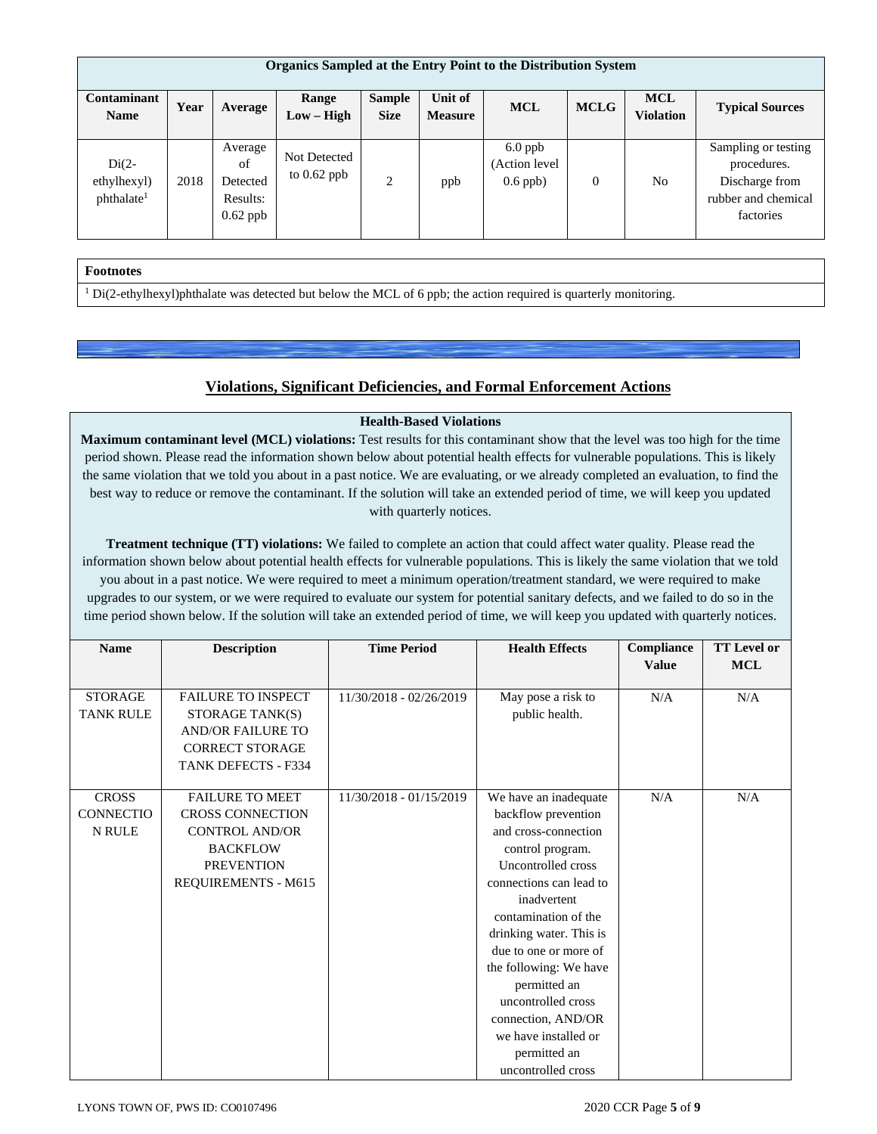| <b>Organics Sampled at the Entry Point to the Distribution System</b> |      |                                                     |                               |                              |                           |                                          |             |                                |                                                                                          |  |
|-----------------------------------------------------------------------|------|-----------------------------------------------------|-------------------------------|------------------------------|---------------------------|------------------------------------------|-------------|--------------------------------|------------------------------------------------------------------------------------------|--|
| Contaminant<br><b>Name</b>                                            | Year | Average                                             | Range<br>$Low - High$         | <b>Sample</b><br><b>Size</b> | Unit of<br><b>Measure</b> | <b>MCL</b>                               | <b>MCLG</b> | <b>MCL</b><br><b>Violation</b> | <b>Typical Sources</b>                                                                   |  |
| $Di(2-$<br>ethylhexyl)<br>phthalate <sup>1</sup>                      | 2018 | Average<br>of<br>Detected<br>Results:<br>$0.62$ ppb | Not Detected<br>to $0.62$ ppb | 2                            | ppb                       | $6.0$ ppb<br>(Action level<br>$0.6$ ppb) | $\Omega$    | N <sub>0</sub>                 | Sampling or testing<br>procedures.<br>Discharge from<br>rubber and chemical<br>factories |  |

# **Footnotes**

<sup>1</sup> Di(2-ethylhexyl)phthalate was detected but below the MCL of 6 ppb; the action required is quarterly monitoring.

# **Violations, Significant Deficiencies, and Formal Enforcement Actions**

# **Health-Based Violations**

**Maximum contaminant level (MCL) violations:** Test results for this contaminant show that the level was too high for the time period shown. Please read the information shown below about potential health effects for vulnerable populations. This is likely the same violation that we told you about in a past notice. We are evaluating, or we already completed an evaluation, to find the best way to reduce or remove the contaminant. If the solution will take an extended period of time, we will keep you updated with quarterly notices.

**Treatment technique (TT) violations:** We failed to complete an action that could affect water quality. Please read the information shown below about potential health effects for vulnerable populations. This is likely the same violation that we told you about in a past notice. We were required to meet a minimum operation/treatment standard, we were required to make upgrades to our system, or we were required to evaluate our system for potential sanitary defects, and we failed to do so in the time period shown below. If the solution will take an extended period of time, we will keep you updated with quarterly notices.

| <b>Name</b>      | <b>Description</b>         | <b>Time Period</b>      | <b>Health Effects</b>   | Compliance<br><b>Value</b> | <b>TT</b> Level or<br><b>MCL</b> |
|------------------|----------------------------|-------------------------|-------------------------|----------------------------|----------------------------------|
|                  |                            |                         |                         |                            |                                  |
| <b>STORAGE</b>   | <b>FAILURE TO INSPECT</b>  | 11/30/2018 - 02/26/2019 | May pose a risk to      | N/A                        | N/A                              |
| <b>TANK RULE</b> | STORAGE TANK(S)            |                         | public health.          |                            |                                  |
|                  | <b>AND/OR FAILURE TO</b>   |                         |                         |                            |                                  |
|                  | <b>CORRECT STORAGE</b>     |                         |                         |                            |                                  |
|                  | <b>TANK DEFECTS - F334</b> |                         |                         |                            |                                  |
|                  |                            |                         |                         |                            |                                  |
| <b>CROSS</b>     | <b>FAILURE TO MEET</b>     | 11/30/2018 - 01/15/2019 | We have an inadequate   | N/A                        | N/A                              |
| <b>CONNECTIO</b> | <b>CROSS CONNECTION</b>    |                         | backflow prevention     |                            |                                  |
| <b>N RULE</b>    | <b>CONTROL AND/OR</b>      |                         | and cross-connection    |                            |                                  |
|                  | <b>BACKFLOW</b>            |                         | control program.        |                            |                                  |
|                  | <b>PREVENTION</b>          |                         | Uncontrolled cross      |                            |                                  |
|                  | REQUIREMENTS - M615        |                         | connections can lead to |                            |                                  |
|                  |                            |                         | inadvertent             |                            |                                  |
|                  |                            |                         | contamination of the    |                            |                                  |
|                  |                            |                         | drinking water. This is |                            |                                  |
|                  |                            |                         | due to one or more of   |                            |                                  |
|                  |                            |                         | the following: We have  |                            |                                  |
|                  |                            |                         | permitted an            |                            |                                  |
|                  |                            |                         | uncontrolled cross      |                            |                                  |
|                  |                            |                         | connection, AND/OR      |                            |                                  |
|                  |                            |                         | we have installed or    |                            |                                  |
|                  |                            |                         | permitted an            |                            |                                  |
|                  |                            |                         | uncontrolled cross      |                            |                                  |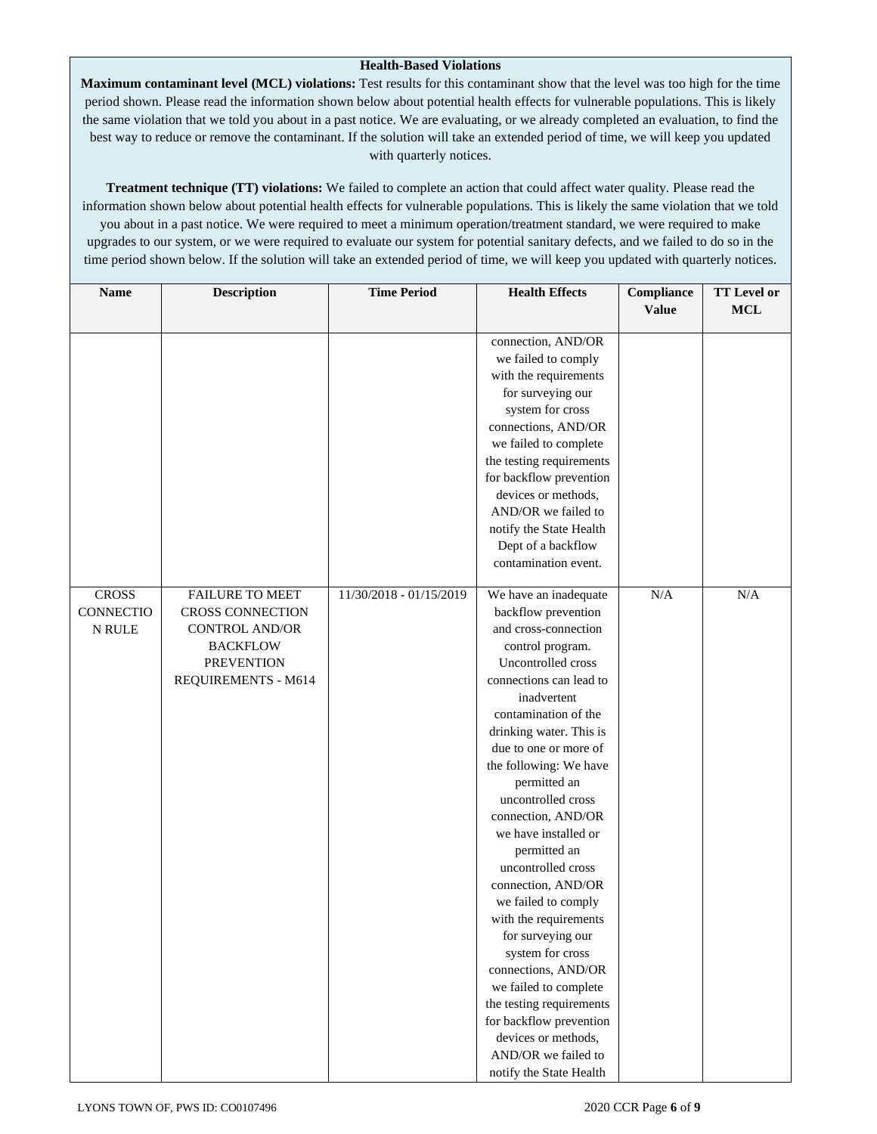## **Health-Based Violations**

**Maximum contaminant level (MCL) violations:** Test results for this contaminant show that the level was too high for the time period shown. Please read the information shown below about potential health effects for vulnerable populations. This is likely the same violation that we told you about in a past notice. We are evaluating, or we already completed an evaluation, to find the best way to reduce or remove the contaminant. If the solution will take an extended period of time, we will keep you updated with quarterly notices.

**Treatment technique (TT) violations:** We failed to complete an action that could affect water quality. Please read the information shown below about potential health effects for vulnerable populations. This is likely the same violation that we told you about in a past notice. We were required to meet a minimum operation/treatment standard, we were required to make upgrades to our system, or we were required to evaluate our system for potential sanitary defects, and we failed to do so in the time period shown below. If the solution will take an extended period of time, we will keep you updated with quarterly notices.

| <b>Name</b>      | <b>Description</b>      | <b>Time Period</b>      | <b>Health Effects</b>                  | Compliance   | <b>TT Level or</b> |
|------------------|-------------------------|-------------------------|----------------------------------------|--------------|--------------------|
|                  |                         |                         |                                        | <b>Value</b> | $\bf MCL$          |
|                  |                         |                         | connection, AND/OR                     |              |                    |
|                  |                         |                         | we failed to comply                    |              |                    |
|                  |                         |                         | with the requirements                  |              |                    |
|                  |                         |                         | for surveying our                      |              |                    |
|                  |                         |                         | system for cross                       |              |                    |
|                  |                         |                         | connections, AND/OR                    |              |                    |
|                  |                         |                         | we failed to complete                  |              |                    |
|                  |                         |                         | the testing requirements               |              |                    |
|                  |                         |                         | for backflow prevention                |              |                    |
|                  |                         |                         | devices or methods,                    |              |                    |
|                  |                         |                         | AND/OR we failed to                    |              |                    |
|                  |                         |                         | notify the State Health                |              |                    |
|                  |                         |                         | Dept of a backflow                     |              |                    |
|                  |                         |                         | contamination event.                   |              |                    |
|                  |                         |                         |                                        |              |                    |
| <b>CROSS</b>     | <b>FAILURE TO MEET</b>  | 11/30/2018 - 01/15/2019 | We have an inadequate                  | N/A          | N/A                |
| <b>CONNECTIO</b> | <b>CROSS CONNECTION</b> |                         | backflow prevention                    |              |                    |
| N RULE           | <b>CONTROL AND/OR</b>   |                         | and cross-connection                   |              |                    |
|                  | <b>BACKFLOW</b>         |                         | control program.<br>Uncontrolled cross |              |                    |
|                  | <b>PREVENTION</b>       |                         | connections can lead to                |              |                    |
|                  | REQUIREMENTS - M614     |                         | inadvertent                            |              |                    |
|                  |                         |                         | contamination of the                   |              |                    |
|                  |                         |                         | drinking water. This is                |              |                    |
|                  |                         |                         | due to one or more of                  |              |                    |
|                  |                         |                         | the following: We have                 |              |                    |
|                  |                         |                         | permitted an                           |              |                    |
|                  |                         |                         | uncontrolled cross                     |              |                    |
|                  |                         |                         | connection, AND/OR                     |              |                    |
|                  |                         |                         | we have installed or                   |              |                    |
|                  |                         |                         | permitted an                           |              |                    |
|                  |                         |                         | uncontrolled cross                     |              |                    |
|                  |                         |                         | connection, AND/OR                     |              |                    |
|                  |                         |                         | we failed to comply                    |              |                    |
|                  |                         |                         | with the requirements                  |              |                    |
|                  |                         |                         | for surveying our                      |              |                    |
|                  |                         |                         | system for cross                       |              |                    |
|                  |                         |                         | connections, AND/OR                    |              |                    |
|                  |                         |                         | we failed to complete                  |              |                    |
|                  |                         |                         | the testing requirements               |              |                    |
|                  |                         |                         | for backflow prevention                |              |                    |
|                  |                         |                         | devices or methods,                    |              |                    |
|                  |                         |                         | AND/OR we failed to                    |              |                    |
|                  |                         |                         | notify the State Health                |              |                    |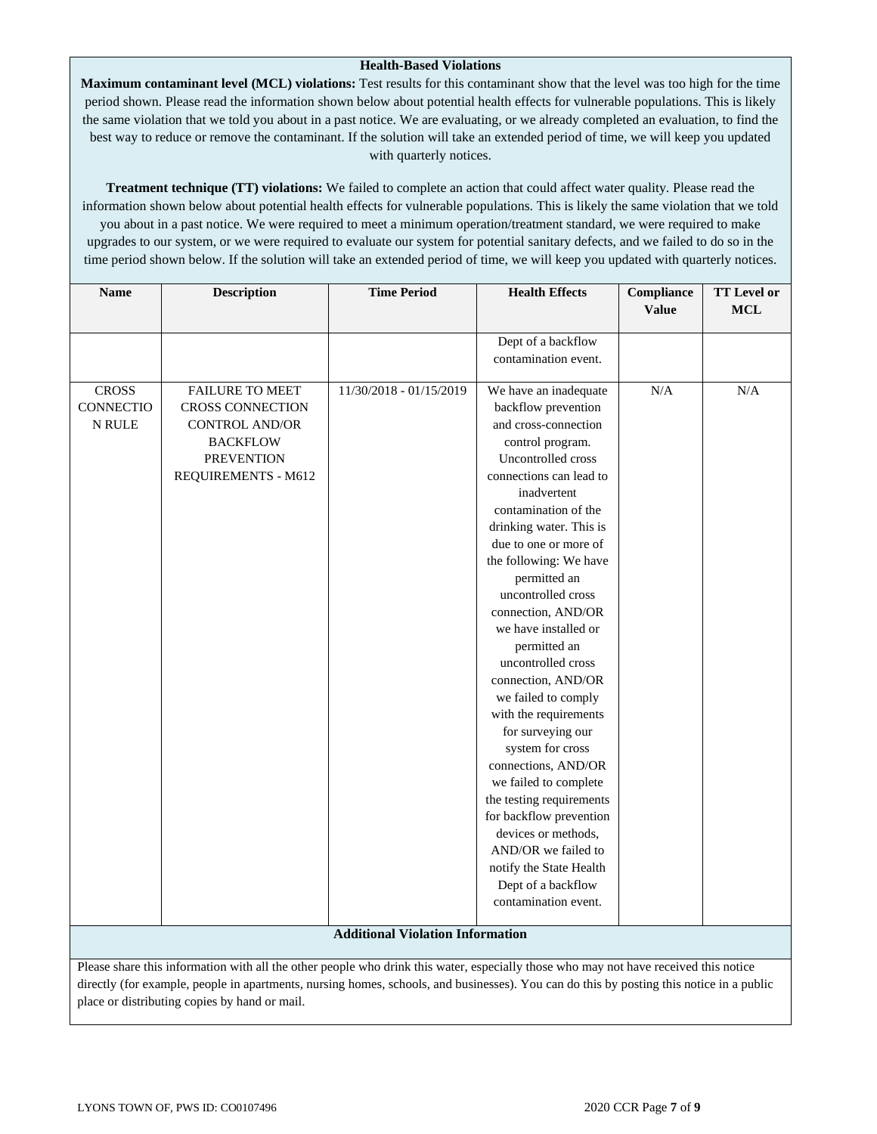## **Health-Based Violations**

**Maximum contaminant level (MCL) violations:** Test results for this contaminant show that the level was too high for the time period shown. Please read the information shown below about potential health effects for vulnerable populations. This is likely the same violation that we told you about in a past notice. We are evaluating, or we already completed an evaluation, to find the best way to reduce or remove the contaminant. If the solution will take an extended period of time, we will keep you updated with quarterly notices.

**Treatment technique (TT) violations:** We failed to complete an action that could affect water quality. Please read the information shown below about potential health effects for vulnerable populations. This is likely the same violation that we told you about in a past notice. We were required to meet a minimum operation/treatment standard, we were required to make upgrades to our system, or we were required to evaluate our system for potential sanitary defects, and we failed to do so in the time period shown below. If the solution will take an extended period of time, we will keep you updated with quarterly notices.

| <b>Name</b>  | <b>Description</b>                                                                                                                       | <b>Time Period</b>                      | <b>Health Effects</b>    | Compliance   | <b>TT</b> Level or |
|--------------|------------------------------------------------------------------------------------------------------------------------------------------|-----------------------------------------|--------------------------|--------------|--------------------|
|              |                                                                                                                                          |                                         |                          | <b>Value</b> | <b>MCL</b>         |
|              |                                                                                                                                          |                                         | Dept of a backflow       |              |                    |
|              |                                                                                                                                          |                                         | contamination event.     |              |                    |
|              |                                                                                                                                          |                                         |                          |              |                    |
| <b>CROSS</b> | <b>FAILURE TO MEET</b>                                                                                                                   | 11/30/2018 - 01/15/2019                 | We have an inadequate    | $\rm N/A$    | N/A                |
| CONNECTIO    | <b>CROSS CONNECTION</b>                                                                                                                  |                                         | backflow prevention      |              |                    |
| N RULE       | <b>CONTROL AND/OR</b>                                                                                                                    |                                         | and cross-connection     |              |                    |
|              | <b>BACKFLOW</b>                                                                                                                          |                                         | control program.         |              |                    |
|              | <b>PREVENTION</b>                                                                                                                        |                                         | Uncontrolled cross       |              |                    |
|              | REQUIREMENTS - M612                                                                                                                      |                                         | connections can lead to  |              |                    |
|              |                                                                                                                                          |                                         | inadvertent              |              |                    |
|              |                                                                                                                                          |                                         | contamination of the     |              |                    |
|              |                                                                                                                                          |                                         | drinking water. This is  |              |                    |
|              |                                                                                                                                          |                                         | due to one or more of    |              |                    |
|              |                                                                                                                                          |                                         | the following: We have   |              |                    |
|              |                                                                                                                                          |                                         | permitted an             |              |                    |
|              |                                                                                                                                          |                                         | uncontrolled cross       |              |                    |
|              |                                                                                                                                          |                                         | connection, AND/OR       |              |                    |
|              |                                                                                                                                          |                                         | we have installed or     |              |                    |
|              |                                                                                                                                          |                                         | permitted an             |              |                    |
|              |                                                                                                                                          |                                         | uncontrolled cross       |              |                    |
|              |                                                                                                                                          |                                         | connection, AND/OR       |              |                    |
|              |                                                                                                                                          |                                         | we failed to comply      |              |                    |
|              |                                                                                                                                          |                                         | with the requirements    |              |                    |
|              |                                                                                                                                          |                                         | for surveying our        |              |                    |
|              |                                                                                                                                          |                                         | system for cross         |              |                    |
|              |                                                                                                                                          |                                         | connections, AND/OR      |              |                    |
|              |                                                                                                                                          |                                         | we failed to complete    |              |                    |
|              |                                                                                                                                          |                                         | the testing requirements |              |                    |
|              |                                                                                                                                          |                                         | for backflow prevention  |              |                    |
|              |                                                                                                                                          |                                         | devices or methods,      |              |                    |
|              |                                                                                                                                          |                                         | AND/OR we failed to      |              |                    |
|              |                                                                                                                                          |                                         | notify the State Health  |              |                    |
|              |                                                                                                                                          |                                         | Dept of a backflow       |              |                    |
|              |                                                                                                                                          |                                         | contamination event.     |              |                    |
|              |                                                                                                                                          |                                         |                          |              |                    |
|              |                                                                                                                                          | <b>Additional Violation Information</b> |                          |              |                    |
|              | Please share this information with all the other people who drink this water, especially those who may not have received this notice     |                                         |                          |              |                    |
|              | directly (for example, people in apartments, nursing homes, schools, and businesses). You can do this by posting this notice in a public |                                         |                          |              |                    |

place or distributing copies by hand or mail.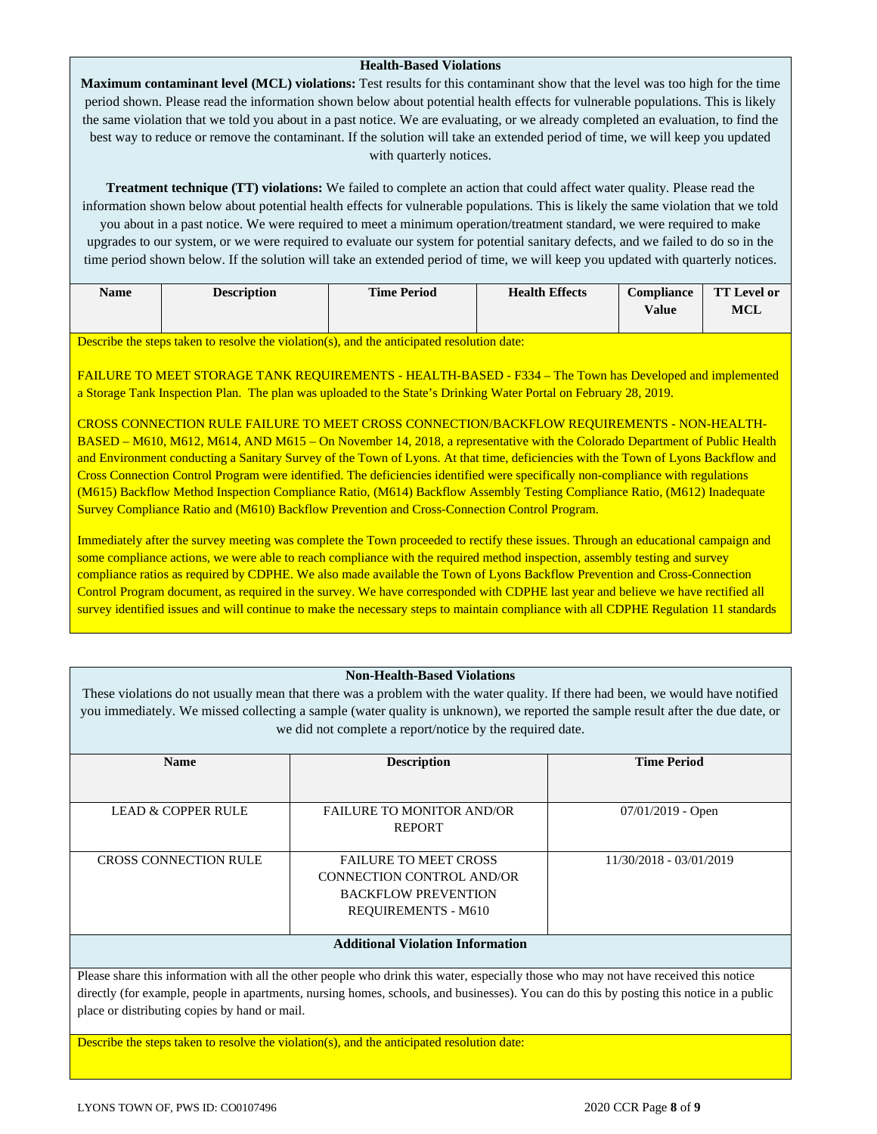## **Health-Based Violations**

**Maximum contaminant level (MCL) violations:** Test results for this contaminant show that the level was too high for the time period shown. Please read the information shown below about potential health effects for vulnerable populations. This is likely the same violation that we told you about in a past notice. We are evaluating, or we already completed an evaluation, to find the best way to reduce or remove the contaminant. If the solution will take an extended period of time, we will keep you updated with quarterly notices.

**Treatment technique (TT) violations:** We failed to complete an action that could affect water quality. Please read the information shown below about potential health effects for vulnerable populations. This is likely the same violation that we told you about in a past notice. We were required to meet a minimum operation/treatment standard, we were required to make upgrades to our system, or we were required to evaluate our system for potential sanitary defects, and we failed to do so in the time period shown below. If the solution will take an extended period of time, we will keep you updated with quarterly notices.

| <b>Name</b> | <b>Description</b> | <b>Time Period</b> | <b>Health Effects</b> | <b>Compliance</b> | <b>TT</b> Level or |
|-------------|--------------------|--------------------|-----------------------|-------------------|--------------------|
|             |                    |                    |                       | <b>Value</b>      | MCL                |
|             |                    |                    |                       |                   |                    |

Describe the steps taken to resolve the violation(s), and the anticipated resolution date:

FAILURE TO MEET STORAGE TANK REQUIREMENTS - HEALTH-BASED - F334 – The Town has Developed and implemented a Storage Tank Inspection Plan. The plan was uploaded to the State's Drinking Water Portal on February 28, 2019.

CROSS CONNECTION RULE FAILURE TO MEET CROSS CONNECTION/BACKFLOW REQUIREMENTS - NON-HEALTH-BASED – M610, M612, M614, AND M615 – On November 14, 2018, a representative with the Colorado Department of Public Health and Environment conducting a Sanitary Survey of the Town of Lyons. At that time, deficiencies with the Town of Lyons Backflow and Cross Connection Control Program were identified. The deficiencies identified were specifically non-compliance with regulations (M615) Backflow Method Inspection Compliance Ratio, (M614) Backflow Assembly Testing Compliance Ratio, (M612) Inadequate Survey Compliance Ratio and (M610) Backflow Prevention and Cross-Connection Control Program.

Immediately after the survey meeting was complete the Town proceeded to rectify these issues. Through an educational campaign and some compliance actions, we were able to reach compliance with the required method inspection, assembly testing and survey compliance ratios as required by CDPHE. We also made available the Town of Lyons Backflow Prevention and Cross-Connection Control Program document, as required in the survey. We have corresponded with CDPHE last year and believe we have rectified all survey identified issues and will continue to make the necessary steps to maintain compliance with all CDPHE Regulation 11 standards

### **Non-Health-Based Violations**

These violations do not usually mean that there was a problem with the water quality. If there had been, we would have notified you immediately. We missed collecting a sample (water quality is unknown), we reported the sample result after the due date, or we did not complete a report/notice by the required date.

| <b>Name</b>                             | <b>Description</b>                                                                                                    | <b>Time Period</b>      |
|-----------------------------------------|-----------------------------------------------------------------------------------------------------------------------|-------------------------|
|                                         |                                                                                                                       |                         |
| LEAD & COPPER RULE                      | <b>FAILURE TO MONITOR AND/OR</b>                                                                                      | $07/01/2019$ - Open     |
|                                         | <b>REPORT</b>                                                                                                         |                         |
| <b>CROSS CONNECTION RULE</b>            | <b>FAILURE TO MEET CROSS</b><br>CONNECTION CONTROL AND/OR<br><b>BACKFLOW PREVENTION</b><br><b>REQUIREMENTS - M610</b> | 11/30/2018 - 03/01/2019 |
| <b>Additional Violation Information</b> |                                                                                                                       |                         |

Please share this information with all the other people who drink this water, especially those who may not have received this notice directly (for example, people in apartments, nursing homes, schools, and businesses). You can do this by posting this notice in a public place or distributing copies by hand or mail.

Describe the steps taken to resolve the violation(s), and the anticipated resolution date: